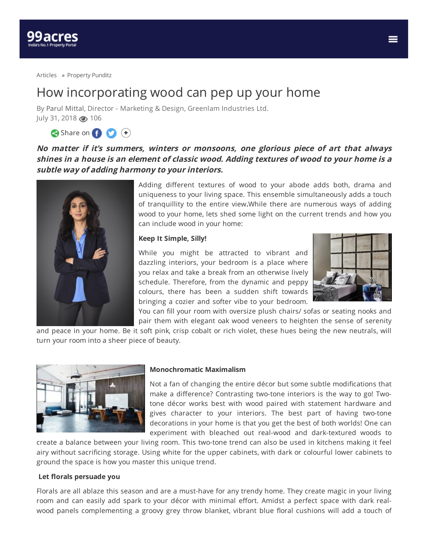

[Articles](https://www.99acres.com/articles/) » [Property](https://www.99acres.com/articles/property-punditz) Punditz

## How incorporating wood can pep up your home

By Parul [Mittal](https://www.99acres.com/articles/author/parulmittal), Director - Marketing & Design, Greenlam Industries Ltd. July 31, 2018 3 106

Share on **f O** (+)

**No matter if it's summers, winters or monsoons, one glorious piece of art that always shines in <sup>a</sup> house is an element of classic wood. Adding textures of wood to your home is <sup>a</sup> subtle way of adding harmony to your interiors.**



Adding different textures of wood to your abode adds both, drama and uniqueness to your living space. This ensemble simultaneously adds a touch of tranquillity to the entire view**.**While there are numerous ways of adding wood to your home, lets shed some light on the current trends and how you can include wood in your home:

## **Keep It Simple, Silly!**

While you might be attracted to vibrant and dazzling interiors, your bedroom is a place where you relax and take a break from an otherwise lively schedule. Therefore, from the dynamic and peppy colours, there has been a sudden shift towards bringing a cozier and softer vibe to your bedroom.



You can fill your room with oversize plush chairs/ sofas or seating nooks and pair them with elegant oak wood veneers to heighten the sense of serenity

and peace in your home. Be it soft pink, crisp cobalt or rich violet, these hues being the new neutrals, will turn your room into a sheer piece of beauty.



## **Monochromatic Maximalism**

Not a fan of changing the entire décor but some subtle modifications that make a difference? Contrasting two-tone interiors is the way to go! Twotone décor works best with wood paired with statement hardware and gives character to your interiors. The best part of having two-tone decorations in your home is that you get the best of both worlds! One can experiment with bleached out real-wood and dark-textured woods to

create a balance between your living room. This two-tone trend can also be used in kitchens making it feel airy without sacrificing storage. Using white for the upper cabinets, with dark or colourful lower cabinets to ground the space is how you master this unique trend.

## **Let orals persuade you**

Florals are all ablaze this season and are a must-have for any trendy home. They create magic in your living room and can easily add spark to your décor with minimal effort. Amidst a perfect space with dark realwood panels complementing a groovy grey throw blanket, vibrant blue floral cushions will add a touch of